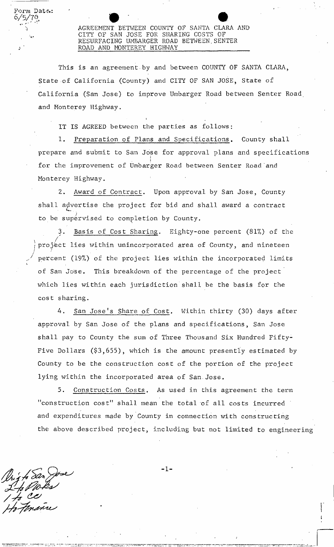**AGREEMENT BETWEEN COUNTY OF SANTA CLARA AND CITY OF SAN JOSE FOR SHARING COSTS OF RESURFACING UMBARGER ROAD BETWEEN,SENTER ROAD AND MONTEREY HIGHWAY** 

This is an agreement by and between COUNTY OF SANTA CLARA, State-of California (County) and CITY OF SAN JOSE, State of California (San Jose) to improve Umbarger Road between Senter Road and Monterey Highway.

i IT IS **AGREED between the parties as follows:** 

1. Preparation of Plans and Specifications. County shall prepare and submit to San Jose for approval plans and specifications i **for the improvement of Umbarger Road between Senter Road and Monterey Highway.** 

2. Award of Contract. Upon approval by San Jose, County shall advertise the project for bid and shall award a contract to be supervised to completion by County.

Basis of Cost Sharing. Eighty-one percent (81%) of the project lies within unincorporated area of County, and nineteen of San Jose. This breakdown of the percentage of the project which lies within each jurisdiction shall be the basis for the cost sharing. percent (19%) of the project lies within the incorporated limits

4. San Jose's Share of Cost. Within thirty (30) days after approval by San Jose of the plans and specifications, San Jose shall pay to County the sum of Three Thousand Six Hundred Fifty-Five Dollars (\$3,655), which is the amount presently estimated by County to be the construction cost of the portion of the project lying within the incorporated area of San.Jose,

5. Construction Costs. As used in this agreement the term "construction cost" shall mean the total of all costs incurred and expenditures made by County in connection with constructing the above described project, including but not limited to engineering

ig to San Jose 'i ce

**Form Date.: 6/5/7?,** 

 $\mathbf{r}$ 

 $-1-$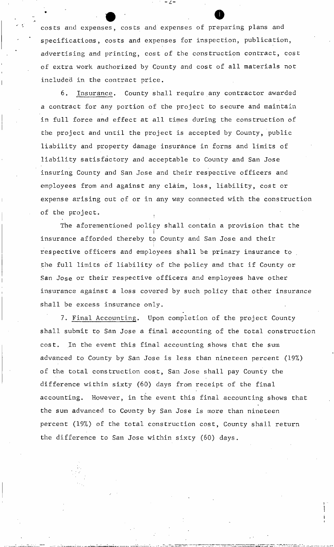costs and expenses, costs and expenses of preparing plans and specifications, costs and expenses for inspection, publication, advertising and printing, cost of the construction contract, cost of extra work authorized by County and cost of all materials not included in the contract price.

• O

- 4-

6. Insurance. County shall require any contractor awarded a contract for any portion of the project to secure and maintain in full force and effect at all times during the construction of the project and until the project is accepted by County, public liability and property damage insurance in forms and limits of liability satisfactory and acceptable to County and San Jose insuring County and San Jose and their respective officers and employees from and against any claim, loss, liability, cost or expense arising out of or in any way connected with the construction of the project.

The aforementioned policy shall contain a provision that the insurance afforded thereby to County and San Jose and their respective officers and employees shall be primary insurance to the full limits of liability of the policy and that if County or San Jose or their respective officers and employees have other insurance against a loss covered by such policy that other insurance shall be excess insurance only.

7. Final Accounting. Upon completion of the project County shall submit to San Jose a final accounting of the total construction cost. In the event this final accounting shows that the sum advanced to County by San Jose is less than nineteen percent (19%) of the total construction cost, San Jose shall pay County the difference within sixty (60) days from receipt of the final accounting. However, in the event this final accounting shows that the sum advanced to County by San Jose is more than nineteen percent (19%) of the total construction cost, County shall return percent (19%) of the total construction cost, County shall return

the difference to San Jose with the difference to San Jose with sixty (60) days. The difference to San Jose wi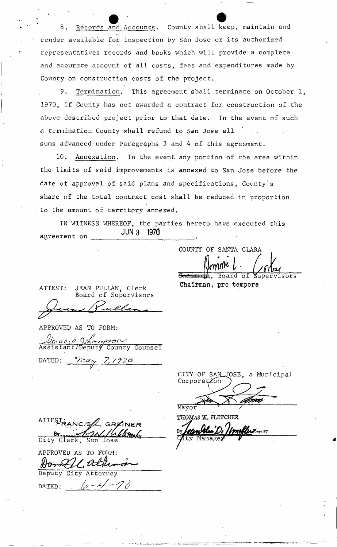Records and Accounts. County shall keep, maintain and render available for inspection by San Jose or its authorized representatives records and books which will provide a complete and accurate account of all costs, fees and expenditures made by County on construction costs of the project.

9. Termination. This agreement shall terminate on October 1, 1970, if County has not awarded a contract for construction of the above described project prior to that date. In the event of such a termination County shall refund to San Jose all sums advanced under Paragraphs 3 and 4 of this agreement.

10. Annexation. In the event any portion of the area within the limits of said improvements is annexed to San Jose before the date of approval of said plans and specifications, County's share of the total contract cost shall be reduced in proportion to the amount of territory annexed.

IN WITNESS WHEREOF, the parties hereto have executed this JUN 3 1970 agreement on

ATTEST: JEAN PULLAN, Clerk Board of Supervisors

APPROVED AS TO FORM:

 $Q_i$  **f**  $\alpha$  **f** Assis tant/Deputy County Counsel

DATED: *<u>May 7,1970</u>* 

ATTEST: GREINER By By Clerk, San Jose Sebtem

APPROVED AS TO FORM: LC, OCEH

Deputy City Attorney DATED:  $\theta$  - 4

CITY OF SAN JOSE, a Municipal Corporation

Mayor

THOMAS *W\_.* FLETCHER'

*A Deputy* Mana .ty

COUNTY OF SANTA CLARA

, Board of supervisors

Chairman, pro tempore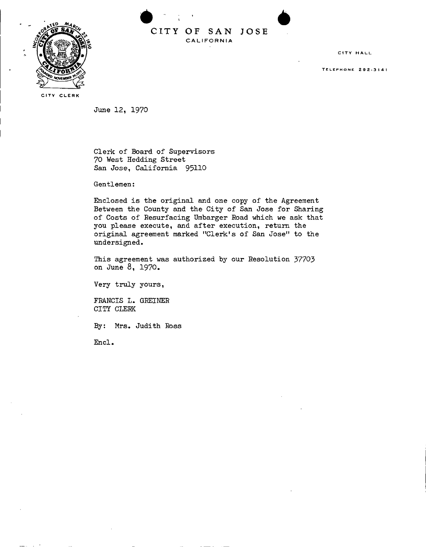

**CIT Y O F SA N JOS E C A L I FOR N I A** 

**CITY H A LI** 

**Telephon e 2 9 2-314 1** 

**CITY CLERK** 

**June 12, 1970** 

**Clerk of Board of Supervisors 70 West Hedding Street San Jose, California 95110** 

**Gentlemen:** 

**Enclosed is the original and one copy of the Agreement Between the County and the City of San Jose for Sharing of Costs of Resurfacing Umbarger Road which we ask that you please execute, and after execution, return the original agreement marked "Clerk's of San Jose" to the undersigned.** 

**This agreement was authorized by our Resolution 37703 on June 8, 1970.** 

**Very truly yours,** 

**FRANCIS L. GREINER CITY CLERK** 

**By: Mrs. Judith Ross** 

**End .**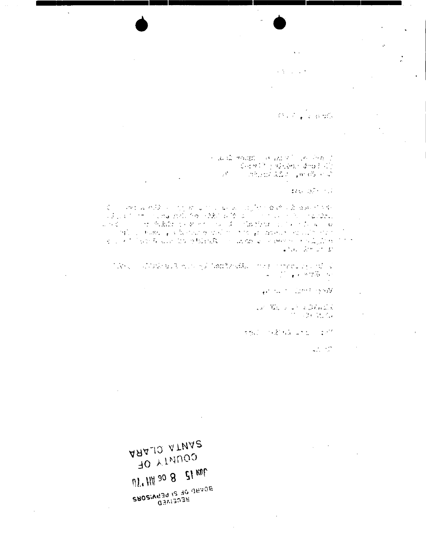$\alpha$  -  $\beta$  -  $\beta$  -  $\beta$  -  $\beta$ 

 $\ddot{\phantom{a}}$ 

**Representative** 

人名福尔纳德 计通信文件 计有限  $\left\langle \psi_{1}^{2}\psi_{2}^{2}\psi_{1}^{2}\right\rangle \geq \left\langle \psi_{2}^{2}\psi_{2}^{2}\psi_{1}^{2}\right\rangle \geq \left\langle \psi_{1}^{2}\psi_{2}\right\rangle \geq \left\langle \psi_{1}^{2}\right\rangle$ and a memorial problem

 $376.05 \pm 0.7$ 

 $\epsilon = \epsilon = 1$  $\mathbb{Z}^N$  denote the set of  $\mathbb{Z}^N$ 

 $\mathbb{E}[\mathcal{M}^{\mathcal{A}}(x)$  is a compact of the constant single set of the state state of the constant single state of the set of the set of the set of the set of the set of the set of the set of the set of the set of the se

and the Company of

 $\frac{1}{2}\frac{1}{2}\frac{d^2}{dx^2} - \frac{1}{2}\frac{d^2}{dx^2} + \frac{1}{2}\frac{d^2}{dx^2} + \frac{1}{2}\frac{d^2}{dx^2} + \frac{1}{2}\frac{d^2}{dx^2} + \frac{1}{2}\frac{d^2}{dx^2} + \frac{1}{2}\frac{d^2}{dx^2} + \frac{1}{2}\frac{d^2}{dx^2} + \frac{1}{2}\frac{d^2}{dx^2} + \frac{1}{2}\frac{d^2}{dx^2} + \frac{1}{2}\frac{d^2}{dx^2} + \frac{1}{2}\frac{d^2}{dx^2$ 

**TAG THE NATIONAL STATE** 

 $\mathcal{L}_{\text{max}}$  ,  $\mathcal{L}_{\text{max}}$ 

AAA\_10 ATMA2 **JO ALMADO**  $12.8$  M  $12.8$  G  $10^{11}$  M **CRO2:V639 12 40 dBAOB Qaviaoae**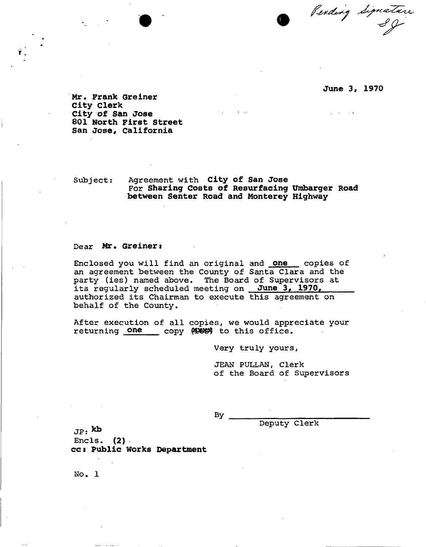Pending Signature

## **June 3, 1970**

**Mr, Frank Greiner City Clerk City of San Jose 801 North First Street San Jose, California** 

Subject: Agreement with **City of San Jose**  For **Sharing Costs of Resurfacing Unibarger Road between Senter Road and Monterey Highway** 

## Dear Mr. Greiner:

Enclosed you will find an original and **one** copies of an agreement between the County of Santa Clara and the party (ies) named above. The Board of Supervisors at its regularly scheduled meeting on **June 3, 1970,**  authorized its Chairman to execute this agreement on behalf of the County.

After execution of all copies, we would appreciate your returning one copy (1888) to this office.

Very truly yours,

JEAN PULLAN, Clerk of the Board of Supervisors

By.

Deputy Clerk

 $J_P$ : kb Encls.  $(2)$ **ccs Public Works Department** 

No. 1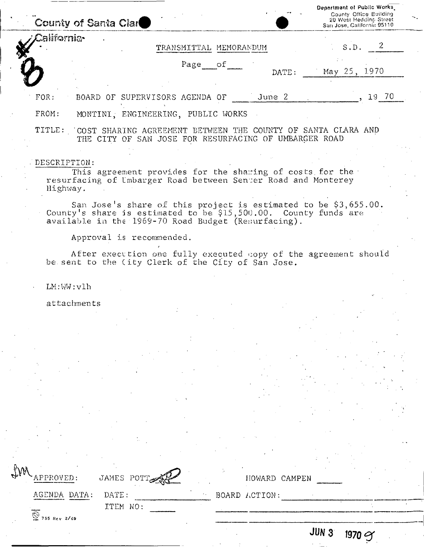|                          | County of Santa Clar                                                                                                                                                                      |                                                       |         |                        |        | Department of Public Works.<br>County Office Building<br>20 West Hedding Street<br>San Jose, California 95110 |  |
|--------------------------|-------------------------------------------------------------------------------------------------------------------------------------------------------------------------------------------|-------------------------------------------------------|---------|------------------------|--------|---------------------------------------------------------------------------------------------------------------|--|
| California-              |                                                                                                                                                                                           |                                                       |         | TRANSMITTAL MEMORANDUM |        | S.D. 2                                                                                                        |  |
|                          |                                                                                                                                                                                           |                                                       | Page of |                        | DATE:  | May 25, 1970                                                                                                  |  |
| FOR:                     | BOARD OF SUPERVISORS AGENDA OF                                                                                                                                                            |                                                       |         |                        | June 2 | 19 70                                                                                                         |  |
| FROM:                    | MONTINI, ENGINEERING, PUBLIC WORKS                                                                                                                                                        |                                                       |         |                        |        |                                                                                                               |  |
|                          | TITLE: 'COST SHARING AGREEMENT BETWEEN THE COUNTY OF SANTA CLARA AND                                                                                                                      | THE CITY OF SAN JOSE FOR RESURFACING OF UMBARGER ROAD |         |                        |        |                                                                                                               |  |
| DESCRIPTION:<br>Highway. | This agreement provides for the shaming of costs for the<br>resurfacing of Umbarger Road between Senter Road and Monterey                                                                 |                                                       |         |                        |        |                                                                                                               |  |
|                          | Sam Jose's share of this project is estimated to be \$3,655.00.<br>County's share is estimated to be \$15,500.00. County funds are<br>available in the 1969-70 Road Budget (Resurfacing). |                                                       |         |                        |        |                                                                                                               |  |
|                          | Approval is recommended.<br>After execution one fully executed copy of the agreement should<br>be sent to the (ity Clerk of the City of San Jose.                                         |                                                       |         |                        |        |                                                                                                               |  |
| LM:WW:v1h                |                                                                                                                                                                                           |                                                       |         |                        |        |                                                                                                               |  |
|                          | attachments                                                                                                                                                                               |                                                       |         |                        |        |                                                                                                               |  |
|                          |                                                                                                                                                                                           |                                                       |         |                        |        |                                                                                                               |  |
|                          |                                                                                                                                                                                           |                                                       |         |                        |        |                                                                                                               |  |
|                          |                                                                                                                                                                                           |                                                       |         |                        |        |                                                                                                               |  |

| M | APPROVED:                                          | JAMES POTT        |  | HOWARD CAMPEN |                  |                 |
|---|----------------------------------------------------|-------------------|--|---------------|------------------|-----------------|
|   | AGENDA DATA:<br>$\overline{\bigcirc}$ 755 Rev 2/69 | DATE:<br>ITEM NO: |  | BOARD ACTION: |                  |                 |
|   |                                                    |                   |  |               | JUN <sub>3</sub> | $1970$ $\gamma$ |